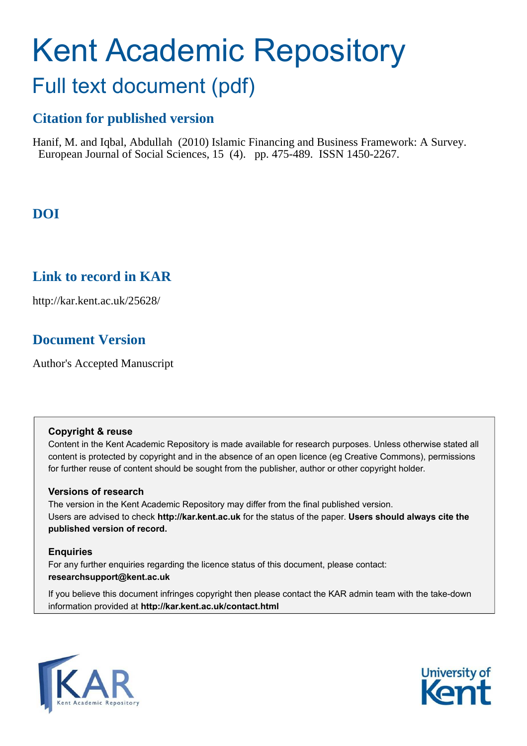# Kent Academic Repository

## Full text document (pdf)

## **Citation for published version**

Hanif, M. and Iqbal, Abdullah (2010) Islamic Financing and Business Framework: A Survey. European Journal of Social Sciences, 15 (4). pp. 475-489. ISSN 1450-2267.

## **DOI**

### **Link to record in KAR**

http://kar.kent.ac.uk/25628/

## **Document Version**

Author's Accepted Manuscript

#### **Copyright & reuse**

Content in the Kent Academic Repository is made available for research purposes. Unless otherwise stated all content is protected by copyright and in the absence of an open licence (eg Creative Commons), permissions for further reuse of content should be sought from the publisher, author or other copyright holder.

#### **Versions of research**

The version in the Kent Academic Repository may differ from the final published version. Users are advised to check **http://kar.kent.ac.uk** for the status of the paper. **Users should always cite the published version of record.**

#### **Enquiries**

For any further enquiries regarding the licence status of this document, please contact: **researchsupport@kent.ac.uk**

If you believe this document infringes copyright then please contact the KAR admin team with the take-down information provided at **http://kar.kent.ac.uk/contact.html**



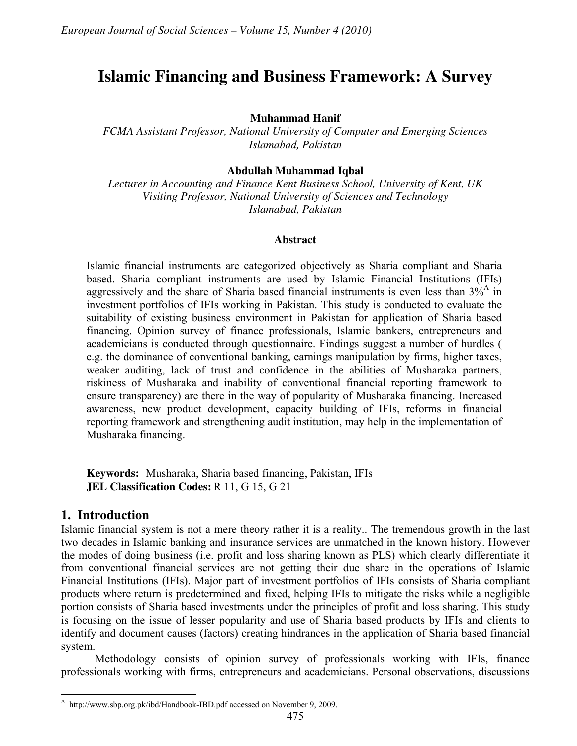## **Islamic Financing and Business Framework: A Survey**

#### **Muhammad Hanif**

*FCMA Assistant Professor, National University of Computer and Emerging Sciences Islamabad, Pakistan* 

#### **Abdullah Muhammad Iqbal**

*Lecturer in Accounting and Finance Kent Business School, University of Kent, UK Visiting Professor, National University of Sciences and Technology Islamabad, Pakistan* 

#### **Abstract**

Islamic financial instruments are categorized objectively as Sharia compliant and Sharia based. Sharia compliant instruments are used by Islamic Financial Institutions (IFIs) aggressively and the share of Sharia based financial instruments is even less than  $3\%$ <sup>A</sup> in investment portfolios of IFIs working in Pakistan. This study is conducted to evaluate the suitability of existing business environment in Pakistan for application of Sharia based financing. Opinion survey of finance professionals, Islamic bankers, entrepreneurs and academicians is conducted through questionnaire. Findings suggest a number of hurdles ( e.g. the dominance of conventional banking, earnings manipulation by firms, higher taxes, weaker auditing, lack of trust and confidence in the abilities of Musharaka partners, riskiness of Musharaka and inability of conventional financial reporting framework to ensure transparency) are there in the way of popularity of Musharaka financing. Increased awareness, new product development, capacity building of IFIs, reforms in financial reporting framework and strengthening audit institution, may help in the implementation of Musharaka financing.

**Keywords:** Musharaka, Sharia based financing, Pakistan, IFIs **JEL Classification Codes:** R 11, G 15, G 21

#### **1. Introduction**

 $\overline{a}$ 

Islamic financial system is not a mere theory rather it is a reality.. The tremendous growth in the last two decades in Islamic banking and insurance services are unmatched in the known history. However the modes of doing business (i.e. profit and loss sharing known as PLS) which clearly differentiate it from conventional financial services are not getting their due share in the operations of Islamic Financial Institutions (IFIs). Major part of investment portfolios of IFIs consists of Sharia compliant products where return is predetermined and fixed, helping IFIs to mitigate the risks while a negligible portion consists of Sharia based investments under the principles of profit and loss sharing. This study is focusing on the issue of lesser popularity and use of Sharia based products by IFIs and clients to identify and document causes (factors) creating hindrances in the application of Sharia based financial system.

Methodology consists of opinion survey of professionals working with IFIs, finance professionals working with firms, entrepreneurs and academicians. Personal observations, discussions

A. http://www.sbp.org.pk/ibd/Handbook-IBD.pdf accessed on November 9, 2009.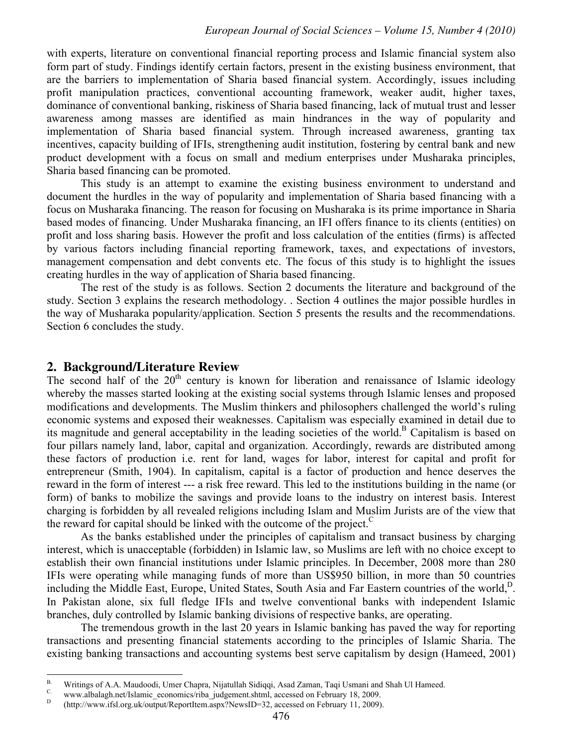with experts, literature on conventional financial reporting process and Islamic financial system also form part of study. Findings identify certain factors, present in the existing business environment, that are the barriers to implementation of Sharia based financial system. Accordingly, issues including profit manipulation practices, conventional accounting framework, weaker audit, higher taxes, dominance of conventional banking, riskiness of Sharia based financing, lack of mutual trust and lesser awareness among masses are identified as main hindrances in the way of popularity and implementation of Sharia based financial system. Through increased awareness, granting tax incentives, capacity building of IFIs, strengthening audit institution, fostering by central bank and new product development with a focus on small and medium enterprises under Musharaka principles, Sharia based financing can be promoted.

This study is an attempt to examine the existing business environment to understand and document the hurdles in the way of popularity and implementation of Sharia based financing with a focus on Musharaka financing. The reason for focusing on Musharaka is its prime importance in Sharia based modes of financing. Under Musharaka financing, an IFI offers finance to its clients (entities) on profit and loss sharing basis. However the profit and loss calculation of the entities (firms) is affected by various factors including financial reporting framework, taxes, and expectations of investors, management compensation and debt convents etc. The focus of this study is to highlight the issues creating hurdles in the way of application of Sharia based financing.

The rest of the study is as follows. Section 2 documents the literature and background of the study. Section 3 explains the research methodology. . Section 4 outlines the major possible hurdles in the way of Musharaka popularity/application. Section 5 presents the results and the recommendations. Section 6 concludes the study.

#### **2. Background/Literature Review**

The second half of the  $20<sup>th</sup>$  century is known for liberation and renaissance of Islamic ideology whereby the masses started looking at the existing social systems through Islamic lenses and proposed modifications and developments. The Muslim thinkers and philosophers challenged the world's ruling economic systems and exposed their weaknesses. Capitalism was especially examined in detail due to its magnitude and general acceptability in the leading societies of the world.<sup>B</sup> Capitalism is based on four pillars namely land, labor, capital and organization. Accordingly, rewards are distributed among these factors of production i.e. rent for land, wages for labor, interest for capital and profit for entrepreneur (Smith, 1904). In capitalism, capital is a factor of production and hence deserves the reward in the form of interest --- a risk free reward. This led to the institutions building in the name (or form) of banks to mobilize the savings and provide loans to the industry on interest basis. Interest charging is forbidden by all revealed religions including Islam and Muslim Jurists are of the view that the reward for capital should be linked with the outcome of the project.<sup>C</sup>

As the banks established under the principles of capitalism and transact business by charging interest, which is unacceptable (forbidden) in Islamic law, so Muslims are left with no choice except to establish their own financial institutions under Islamic principles. In December, 2008 more than 280 IFIs were operating while managing funds of more than US\$950 billion, in more than 50 countries including the Middle East, Europe, United States, South Asia and Far Eastern countries of the world,<sup>D</sup>. In Pakistan alone, six full fledge IFIs and twelve conventional banks with independent Islamic branches, duly controlled by Islamic banking divisions of respective banks, are operating.

The tremendous growth in the last 20 years in Islamic banking has paved the way for reporting transactions and presenting financial statements according to the principles of Islamic Sharia. The existing banking transactions and accounting systems best serve capitalism by design (Hameed, 2001)

 $B.$ B. Writings of A.A. Maudoodi, Umer Chapra, Nijatullah Sidiqqi, Asad Zaman, Taqi Usmani and Shah Ul Hameed.

www.albalagh.net/Islamic\_economics/riba\_judgement.shtml, accessed on February 18, 2009.

 $\,$  D (http://www.ifsl.org.uk/output/ReportItem.aspx?NewsID=32, accessed on February 11, 2009).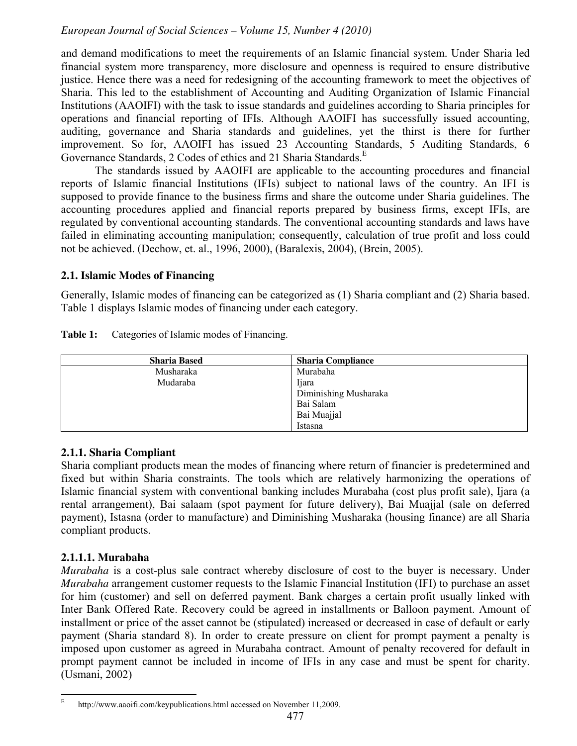and demand modifications to meet the requirements of an Islamic financial system. Under Sharia led financial system more transparency, more disclosure and openness is required to ensure distributive justice. Hence there was a need for redesigning of the accounting framework to meet the objectives of Sharia. This led to the establishment of Accounting and Auditing Organization of Islamic Financial Institutions (AAOIFI) with the task to issue standards and guidelines according to Sharia principles for operations and financial reporting of IFIs. Although AAOIFI has successfully issued accounting, auditing, governance and Sharia standards and guidelines, yet the thirst is there for further improvement. So for, AAOIFI has issued 23 Accounting Standards, 5 Auditing Standards, 6 Governance Standards, 2 Codes of ethics and 21 Sharia Standards.<sup>E</sup>

The standards issued by AAOIFI are applicable to the accounting procedures and financial reports of Islamic financial Institutions (IFIs) subject to national laws of the country. An IFI is supposed to provide finance to the business firms and share the outcome under Sharia guidelines. The accounting procedures applied and financial reports prepared by business firms, except IFIs, are regulated by conventional accounting standards. The conventional accounting standards and laws have failed in eliminating accounting manipulation; consequently, calculation of true profit and loss could not be achieved. (Dechow, et. al., 1996, 2000), (Baralexis, 2004), (Brein, 2005).

#### **2.1. Islamic Modes of Financing**

Generally, Islamic modes of financing can be categorized as (1) Sharia compliant and (2) Sharia based. Table 1 displays Islamic modes of financing under each category.

| Table 1: | Categories of Islamic modes of Financing. |  |  |  |  |
|----------|-------------------------------------------|--|--|--|--|
|----------|-------------------------------------------|--|--|--|--|

| <b>Sharia Based</b> | <b>Sharia Compliance</b> |
|---------------------|--------------------------|
| Musharaka           | Murabaha                 |
| Mudaraba            | Ijara                    |
|                     | Diminishing Musharaka    |
|                     | Bai Salam                |
|                     | Bai Muajjal              |
|                     | Istasna                  |

#### **2.1.1. Sharia Compliant**

Sharia compliant products mean the modes of financing where return of financier is predetermined and fixed but within Sharia constraints. The tools which are relatively harmonizing the operations of Islamic financial system with conventional banking includes Murabaha (cost plus profit sale), Ijara (a rental arrangement), Bai salaam (spot payment for future delivery), Bai Muajjal (sale on deferred payment), Istasna (order to manufacture) and Diminishing Musharaka (housing finance) are all Sharia compliant products.

#### **2.1.1.1. Murabaha**

*Murabaha* is a cost-plus sale contract whereby disclosure of cost to the buyer is necessary. Under *Murabaha* arrangement customer requests to the Islamic Financial Institution (IFI) to purchase an asset for him (customer) and sell on deferred payment. Bank charges a certain profit usually linked with Inter Bank Offered Rate. Recovery could be agreed in installments or Balloon payment. Amount of installment or price of the asset cannot be (stipulated) increased or decreased in case of default or early payment (Sharia standard 8). In order to create pressure on client for prompt payment a penalty is imposed upon customer as agreed in Murabaha contract. Amount of penalty recovered for default in prompt payment cannot be included in income of IFIs in any case and must be spent for charity. (Usmani, 2002)

 E http://www.aaoifi.com/keypublications.html accessed on November 11,2009.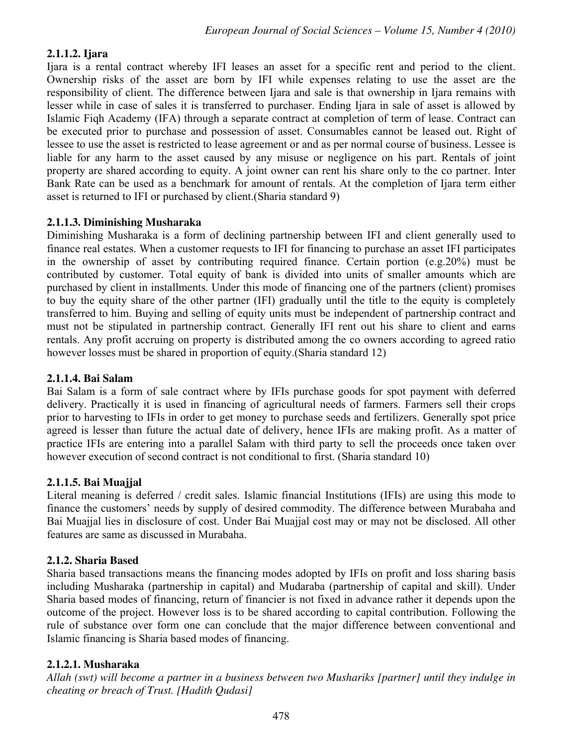#### **2.1.1.2. Ijara**

Ijara is a rental contract whereby IFI leases an asset for a specific rent and period to the client. Ownership risks of the asset are born by IFI while expenses relating to use the asset are the responsibility of client. The difference between Ijara and sale is that ownership in Ijara remains with lesser while in case of sales it is transferred to purchaser. Ending Ijara in sale of asset is allowed by Islamic Fiqh Academy (IFA) through a separate contract at completion of term of lease. Contract can be executed prior to purchase and possession of asset. Consumables cannot be leased out. Right of lessee to use the asset is restricted to lease agreement or and as per normal course of business. Lessee is liable for any harm to the asset caused by any misuse or negligence on his part. Rentals of joint property are shared according to equity. A joint owner can rent his share only to the co partner. Inter Bank Rate can be used as a benchmark for amount of rentals. At the completion of Ijara term either asset is returned to IFI or purchased by client.(Sharia standard 9)

#### **2.1.1.3. Diminishing Musharaka**

Diminishing Musharaka is a form of declining partnership between IFI and client generally used to finance real estates. When a customer requests to IFI for financing to purchase an asset IFI participates in the ownership of asset by contributing required finance. Certain portion (e.g.20%) must be contributed by customer. Total equity of bank is divided into units of smaller amounts which are purchased by client in installments. Under this mode of financing one of the partners (client) promises to buy the equity share of the other partner (IFI) gradually until the title to the equity is completely transferred to him. Buying and selling of equity units must be independent of partnership contract and must not be stipulated in partnership contract. Generally IFI rent out his share to client and earns rentals. Any profit accruing on property is distributed among the co owners according to agreed ratio however losses must be shared in proportion of equity.(Sharia standard 12)

#### **2.1.1.4. Bai Salam**

Bai Salam is a form of sale contract where by IFIs purchase goods for spot payment with deferred delivery. Practically it is used in financing of agricultural needs of farmers. Farmers sell their crops prior to harvesting to IFIs in order to get money to purchase seeds and fertilizers. Generally spot price agreed is lesser than future the actual date of delivery, hence IFIs are making profit. As a matter of practice IFIs are entering into a parallel Salam with third party to sell the proceeds once taken over however execution of second contract is not conditional to first. (Sharia standard 10)

#### **2.1.1.5. Bai Muajjal**

Literal meaning is deferred / credit sales. Islamic financial Institutions (IFIs) are using this mode to finance the customers' needs by supply of desired commodity. The difference between Murabaha and Bai Muajjal lies in disclosure of cost. Under Bai Muajjal cost may or may not be disclosed. All other features are same as discussed in Murabaha.

#### **2.1.2. Sharia Based**

Sharia based transactions means the financing modes adopted by IFIs on profit and loss sharing basis including Musharaka (partnership in capital) and Mudaraba (partnership of capital and skill). Under Sharia based modes of financing, return of financier is not fixed in advance rather it depends upon the outcome of the project. However loss is to be shared according to capital contribution. Following the rule of substance over form one can conclude that the major difference between conventional and Islamic financing is Sharia based modes of financing.

#### **2.1.2.1. Musharaka**

*Allah (swt) will become a partner in a business between two Mushariks [partner] until they indulge in cheating or breach of Trust. [Hadith Qudasi]*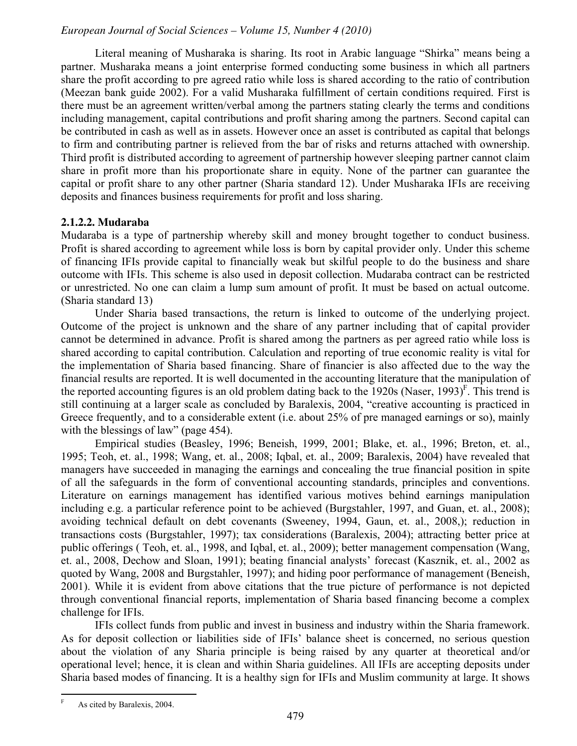Literal meaning of Musharaka is sharing. Its root in Arabic language "Shirka" means being a partner. Musharaka means a joint enterprise formed conducting some business in which all partners share the profit according to pre agreed ratio while loss is shared according to the ratio of contribution (Meezan bank guide 2002). For a valid Musharaka fulfillment of certain conditions required. First is there must be an agreement written/verbal among the partners stating clearly the terms and conditions including management, capital contributions and profit sharing among the partners. Second capital can be contributed in cash as well as in assets. However once an asset is contributed as capital that belongs to firm and contributing partner is relieved from the bar of risks and returns attached with ownership. Third profit is distributed according to agreement of partnership however sleeping partner cannot claim share in profit more than his proportionate share in equity. None of the partner can guarantee the capital or profit share to any other partner (Sharia standard 12). Under Musharaka IFIs are receiving deposits and finances business requirements for profit and loss sharing.

#### **2.1.2.2. Mudaraba**

Mudaraba is a type of partnership whereby skill and money brought together to conduct business. Profit is shared according to agreement while loss is born by capital provider only. Under this scheme of financing IFIs provide capital to financially weak but skilful people to do the business and share outcome with IFIs. This scheme is also used in deposit collection. Mudaraba contract can be restricted or unrestricted. No one can claim a lump sum amount of profit. It must be based on actual outcome. (Sharia standard 13)

Under Sharia based transactions, the return is linked to outcome of the underlying project. Outcome of the project is unknown and the share of any partner including that of capital provider cannot be determined in advance. Profit is shared among the partners as per agreed ratio while loss is shared according to capital contribution. Calculation and reporting of true economic reality is vital for the implementation of Sharia based financing. Share of financier is also affected due to the way the financial results are reported. It is well documented in the accounting literature that the manipulation of the reported accounting figures is an old problem dating back to the  $1920s$  (Naser,  $1993$ )<sup>F</sup>. This trend is still continuing at a larger scale as concluded by Baralexis, 2004, "creative accounting is practiced in Greece frequently, and to a considerable extent (i.e. about 25% of pre managed earnings or so), mainly with the blessings of law" (page  $454$ ).

Empirical studies (Beasley, 1996; Beneish, 1999, 2001; Blake, et. al., 1996; Breton, et. al., 1995; Teoh, et. al., 1998; Wang, et. al., 2008; Iqbal, et. al., 2009; Baralexis, 2004) have revealed that managers have succeeded in managing the earnings and concealing the true financial position in spite of all the safeguards in the form of conventional accounting standards, principles and conventions. Literature on earnings management has identified various motives behind earnings manipulation including e.g. a particular reference point to be achieved (Burgstahler, 1997, and Guan, et. al., 2008); avoiding technical default on debt covenants (Sweeney, 1994, Gaun, et. al., 2008,); reduction in transactions costs (Burgstahler, 1997); tax considerations (Baralexis, 2004); attracting better price at public offerings ( Teoh, et. al., 1998, and Iqbal, et. al., 2009); better management compensation (Wang, et. al., 2008, Dechow and Sloan, 1991); beating financial analysts' forecast (Kasznik, et. al., 2002 as quoted by Wang, 2008 and Burgstahler, 1997); and hiding poor performance of management (Beneish, 2001). While it is evident from above citations that the true picture of performance is not depicted through conventional financial reports, implementation of Sharia based financing become a complex challenge for IFIs.

IFIs collect funds from public and invest in business and industry within the Sharia framework. As for deposit collection or liabilities side of IFIs' balance sheet is concerned, no serious question about the violation of any Sharia principle is being raised by any quarter at theoretical and/or operational level; hence, it is clean and within Sharia guidelines. All IFIs are accepting deposits under Sharia based modes of financing. It is a healthy sign for IFIs and Muslim community at large. It shows

 F As cited by Baralexis, 2004.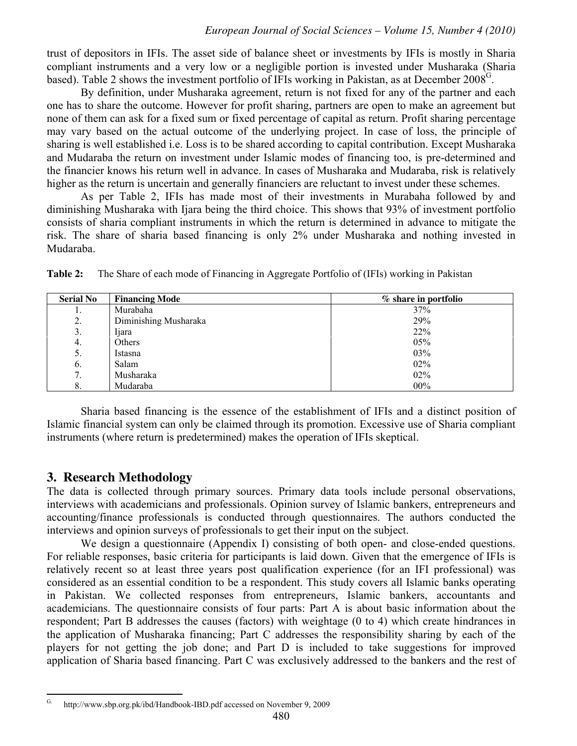trust of depositors in IFIs. The asset side of balance sheet or investments by IFIs is mostly in Sharia compliant instruments and a very low or a negligible portion is invested under Musharaka (Sharia based). Table 2 shows the investment portfolio of IFIs working in Pakistan, as at December 2008<sup>G</sup>.

By definition, under Musharaka agreement, return is not fixed for any of the partner and each one has to share the outcome. However for profit sharing, partners are open to make an agreement but none of them can ask for a fixed sum or fixed percentage of capital as return. Profit sharing percentage may vary based on the actual outcome of the underlying project. In case of loss, the principle of sharing is well established i.e. Loss is to be shared according to capital contribution. Except Musharaka and Mudaraba the return on investment under Islamic modes of financing too, is pre-determined and the financier knows his return well in advance. In cases of Musharaka and Mudaraba, risk is relatively higher as the return is uncertain and generally financiers are reluctant to invest under these schemes.

As per Table 2, IFIs has made most of their investments in Murabaha followed by and diminishing Musharaka with Ijara being the third choice. This shows that 93% of investment portfolio consists of sharia compliant instruments in which the return is determined in advance to mitigate the risk. The share of sharia based financing is only 2% under Musharaka and nothing invested in Mudaraba.

| <b>Serial No</b> | <b>Financing Mode</b> | % share in portfolio |
|------------------|-----------------------|----------------------|
| .,               | Murabaha              | 37%                  |
| 2.               | Diminishing Musharaka | 29%                  |
| 3.               | Ijara                 | 22%                  |
| 4.               | Others                | 05%                  |
| 5.               | Istasna               | 03%                  |
| 6.               | Salam                 | 02%                  |
| 7.               | Musharaka             | 02%                  |
| 8.               | Mudaraba              | 00%                  |

**Table 2:** The Share of each mode of Financing in Aggregate Portfolio of (IFIs) working in Pakistan

Sharia based financing is the essence of the establishment of IFIs and a distinct position of Islamic financial system can only be claimed through its promotion. Excessive use of Sharia compliant instruments (where return is predetermined) makes the operation of IFIs skeptical.

#### **3. Research Methodology**

The data is collected through primary sources. Primary data tools include personal observations, interviews with academicians and professionals. Opinion survey of Islamic bankers, entrepreneurs and accounting/finance professionals is conducted through questionnaires. The authors conducted the interviews and opinion surveys of professionals to get their input on the subject.

We design a questionnaire (Appendix I) consisting of both open- and close-ended questions. For reliable responses, basic criteria for participants is laid down. Given that the emergence of IFIs is relatively recent so at least three years post qualification experience (for an IFI professional) was considered as an essential condition to be a respondent. This study covers all Islamic banks operating in Pakistan. We collected responses from entrepreneurs, Islamic bankers, accountants and academicians. The questionnaire consists of four parts: Part A is about basic information about the respondent; Part B addresses the causes (factors) with weightage (0 to 4) which create hindrances in the application of Musharaka financing; Part C addresses the responsibility sharing by each of the players for not getting the job done; and Part D is included to take suggestions for improved application of Sharia based financing. Part C was exclusively addressed to the bankers and the rest of

 $\overline{G}$ . http://www.sbp.org.pk/ibd/Handbook-IBD.pdf accessed on November 9, 2009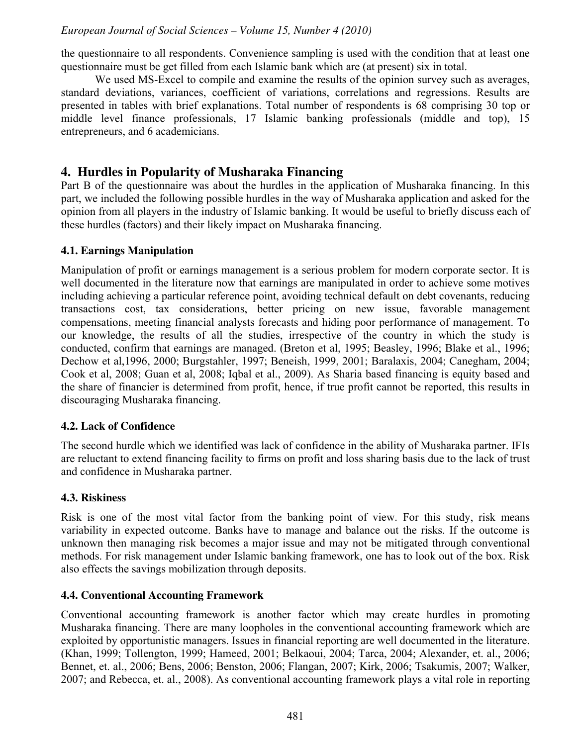the questionnaire to all respondents. Convenience sampling is used with the condition that at least one questionnaire must be get filled from each Islamic bank which are (at present) six in total.

We used MS-Excel to compile and examine the results of the opinion survey such as averages, standard deviations, variances, coefficient of variations, correlations and regressions. Results are presented in tables with brief explanations. Total number of respondents is 68 comprising 30 top or middle level finance professionals, 17 Islamic banking professionals (middle and top), 15 entrepreneurs, and 6 academicians.

#### **4. Hurdles in Popularity of Musharaka Financing**

Part B of the questionnaire was about the hurdles in the application of Musharaka financing. In this part, we included the following possible hurdles in the way of Musharaka application and asked for the opinion from all players in the industry of Islamic banking. It would be useful to briefly discuss each of these hurdles (factors) and their likely impact on Musharaka financing.

#### **4.1. Earnings Manipulation**

Manipulation of profit or earnings management is a serious problem for modern corporate sector. It is well documented in the literature now that earnings are manipulated in order to achieve some motives including achieving a particular reference point, avoiding technical default on debt covenants, reducing transactions cost, tax considerations, better pricing on new issue, favorable management compensations, meeting financial analysts forecasts and hiding poor performance of management. To our knowledge, the results of all the studies, irrespective of the country in which the study is conducted, confirm that earnings are managed. (Breton et al, 1995; Beasley, 1996; Blake et al., 1996; Dechow et al,1996, 2000; Burgstahler, 1997; Beneish, 1999, 2001; Baralaxis, 2004; Canegham, 2004; Cook et al, 2008; Guan et al, 2008; Iqbal et al., 2009). As Sharia based financing is equity based and the share of financier is determined from profit, hence, if true profit cannot be reported, this results in discouraging Musharaka financing.

#### **4.2. Lack of Confidence**

The second hurdle which we identified was lack of confidence in the ability of Musharaka partner. IFIs are reluctant to extend financing facility to firms on profit and loss sharing basis due to the lack of trust and confidence in Musharaka partner.

#### **4.3. Riskiness**

Risk is one of the most vital factor from the banking point of view. For this study, risk means variability in expected outcome. Banks have to manage and balance out the risks. If the outcome is unknown then managing risk becomes a major issue and may not be mitigated through conventional methods. For risk management under Islamic banking framework, one has to look out of the box. Risk also effects the savings mobilization through deposits.

#### **4.4. Conventional Accounting Framework**

Conventional accounting framework is another factor which may create hurdles in promoting Musharaka financing. There are many loopholes in the conventional accounting framework which are exploited by opportunistic managers. Issues in financial reporting are well documented in the literature. (Khan, 1999; Tollengton, 1999; Hameed, 2001; Belkaoui, 2004; Tarca, 2004; Alexander, et. al., 2006; Bennet, et. al., 2006; Bens, 2006; Benston, 2006; Flangan, 2007; Kirk, 2006; Tsakumis, 2007; Walker, 2007; and Rebecca, et. al., 2008). As conventional accounting framework plays a vital role in reporting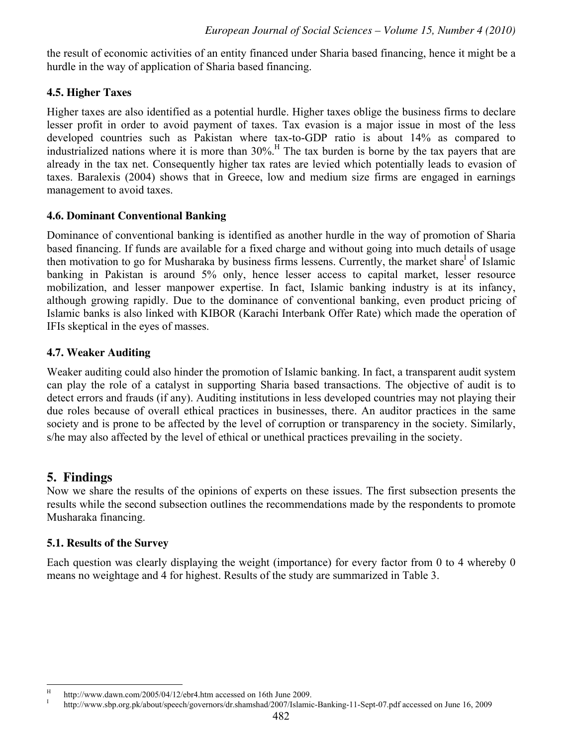the result of economic activities of an entity financed under Sharia based financing, hence it might be a hurdle in the way of application of Sharia based financing.

#### **4.5. Higher Taxes**

Higher taxes are also identified as a potential hurdle. Higher taxes oblige the business firms to declare lesser profit in order to avoid payment of taxes. Tax evasion is a major issue in most of the less developed countries such as Pakistan where tax-to-GDP ratio is about 14% as compared to industrialized nations where it is more than  $30\%$ .<sup>H</sup> The tax burden is borne by the tax payers that are already in the tax net. Consequently higher tax rates are levied which potentially leads to evasion of taxes. Baralexis (2004) shows that in Greece, low and medium size firms are engaged in earnings management to avoid taxes.

#### **4.6. Dominant Conventional Banking**

Dominance of conventional banking is identified as another hurdle in the way of promotion of Sharia based financing. If funds are available for a fixed charge and without going into much details of usage then motivation to go for Musharaka by business firms lessens. Currently, the market share<sup>I</sup> of Islamic banking in Pakistan is around 5% only, hence lesser access to capital market, lesser resource mobilization, and lesser manpower expertise. In fact, Islamic banking industry is at its infancy, although growing rapidly. Due to the dominance of conventional banking, even product pricing of Islamic banks is also linked with KIBOR (Karachi Interbank Offer Rate) which made the operation of IFIs skeptical in the eyes of masses.

#### **4.7. Weaker Auditing**

Weaker auditing could also hinder the promotion of Islamic banking. In fact, a transparent audit system can play the role of a catalyst in supporting Sharia based transactions. The objective of audit is to detect errors and frauds (if any). Auditing institutions in less developed countries may not playing their due roles because of overall ethical practices in businesses, there. An auditor practices in the same society and is prone to be affected by the level of corruption or transparency in the society. Similarly, s/he may also affected by the level of ethical or unethical practices prevailing in the society.

#### **5. Findings**

Now we share the results of the opinions of experts on these issues. The first subsection presents the results while the second subsection outlines the recommendations made by the respondents to promote Musharaka financing.

#### **5.1. Results of the Survey**

Each question was clearly displaying the weight (importance) for every factor from 0 to 4 whereby 0 means no weightage and 4 for highest. Results of the study are summarized in Table 3.

 H http://www.dawn.com/2005/04/12/ebr4.htm accessed on 16th June 2009.

I http://www.sbp.org.pk/about/speech/governors/dr.shamshad/2007/Islamic-Banking-11-Sept-07.pdf accessed on June 16, 2009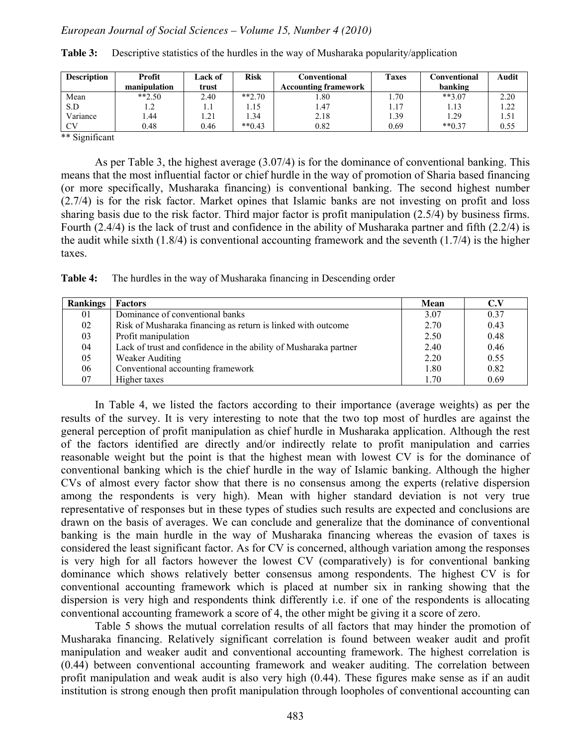| <b>Description</b> | <b>Profit</b> | Lack of | <b>Risk</b> | Conventional                | <b>Taxes</b> | Conventional | Audit |
|--------------------|---------------|---------|-------------|-----------------------------|--------------|--------------|-------|
|                    | manipulation  | trust   |             | <b>Accounting framework</b> |              | banking      |       |
| Mean               | $**2.50$      | 2.40    | $**2.70$    | . .80                       | .70          | $**3.07$     | 2.20  |
| S.D                | 1.2           | 1.1     | .15         | 1.47                        | 1.17         | 1.13         | 1.22  |
| Variance           | l.44          | 1.21    | 34،         | 2.18                        | .39          | 1.29         | 1.51  |
| CV                 | 0.48          | 0.46    | $**0.43$    | 0.82                        | 0.69         | $**0.37$     | 0.55  |

**Table 3:** Descriptive statistics of the hurdles in the way of Musharaka popularity/application

\*\* Significant

As per Table 3, the highest average (3.07/4) is for the dominance of conventional banking. This means that the most influential factor or chief hurdle in the way of promotion of Sharia based financing (or more specifically, Musharaka financing) is conventional banking. The second highest number (2.7/4) is for the risk factor. Market opines that Islamic banks are not investing on profit and loss sharing basis due to the risk factor. Third major factor is profit manipulation (2.5/4) by business firms. Fourth (2.4/4) is the lack of trust and confidence in the ability of Musharaka partner and fifth (2.2/4) is the audit while sixth (1.8/4) is conventional accounting framework and the seventh (1.7/4) is the higher taxes.

**Table 4:** The hurdles in the way of Musharaka financing in Descending order

| <b>Rankings</b> | <b>Factors</b>                                                   | <b>Mean</b> | C.V  |
|-----------------|------------------------------------------------------------------|-------------|------|
| 01              | Dominance of conventional banks                                  | 3.07        | 0.37 |
| 02              | Risk of Musharaka financing as return is linked with outcome     | 2.70        | 0.43 |
| 03              | Profit manipulation                                              | 2.50        | 0.48 |
| 04              | Lack of trust and confidence in the ability of Musharaka partner | 2.40        | 0.46 |
| 05              | Weaker Auditing                                                  | 2.20        | 0.55 |
| 06              | Conventional accounting framework                                | 1.80        | 0.82 |
| 07              | Higher taxes                                                     | 1.70        | 0.69 |

In Table 4, we listed the factors according to their importance (average weights) as per the results of the survey. It is very interesting to note that the two top most of hurdles are against the general perception of profit manipulation as chief hurdle in Musharaka application. Although the rest of the factors identified are directly and/or indirectly relate to profit manipulation and carries reasonable weight but the point is that the highest mean with lowest CV is for the dominance of conventional banking which is the chief hurdle in the way of Islamic banking. Although the higher CVs of almost every factor show that there is no consensus among the experts (relative dispersion among the respondents is very high). Mean with higher standard deviation is not very true representative of responses but in these types of studies such results are expected and conclusions are drawn on the basis of averages. We can conclude and generalize that the dominance of conventional banking is the main hurdle in the way of Musharaka financing whereas the evasion of taxes is considered the least significant factor. As for CV is concerned, although variation among the responses is very high for all factors however the lowest CV (comparatively) is for conventional banking dominance which shows relatively better consensus among respondents. The highest CV is for conventional accounting framework which is placed at number six in ranking showing that the dispersion is very high and respondents think differently i.e. if one of the respondents is allocating conventional accounting framework a score of 4, the other might be giving it a score of zero.

Table 5 shows the mutual correlation results of all factors that may hinder the promotion of Musharaka financing. Relatively significant correlation is found between weaker audit and profit manipulation and weaker audit and conventional accounting framework. The highest correlation is (0.44) between conventional accounting framework and weaker auditing. The correlation between profit manipulation and weak audit is also very high (0.44). These figures make sense as if an audit institution is strong enough then profit manipulation through loopholes of conventional accounting can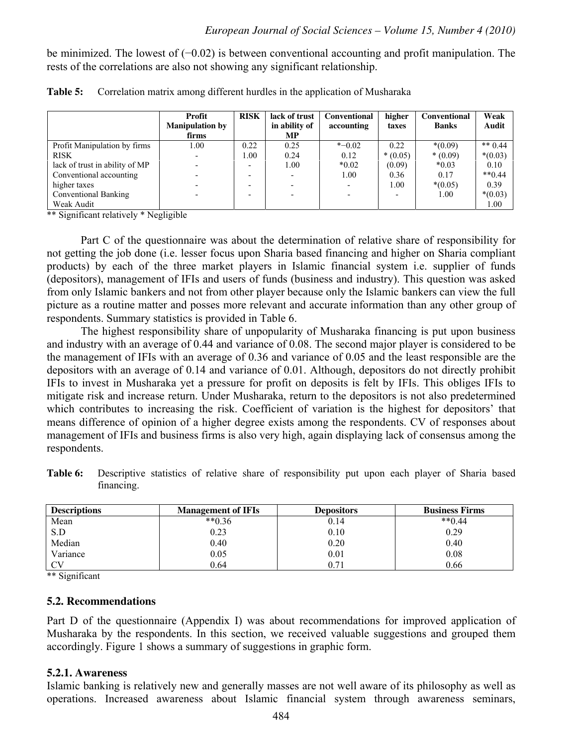be minimized. The lowest of (−0.02) is between conventional accounting and profit manipulation. The rests of the correlations are also not showing any significant relationship.

|                                | <b>Profit</b>          | <b>RISK</b>              | lack of trust            | <b>Conventional</b>      | higher    | Conventional | Weak      |
|--------------------------------|------------------------|--------------------------|--------------------------|--------------------------|-----------|--------------|-----------|
|                                | <b>Manipulation by</b> |                          | in ability of            | accounting               | taxes     | <b>Banks</b> | Audit     |
|                                | firms                  |                          | <b>MP</b>                |                          |           |              |           |
| Profit Manipulation by firms   | 1.00                   | 0.22                     | 0.25                     | $* -0.02$                | 0.22      | $*(0.09)$    | ** $0.44$ |
| <b>RISK</b>                    |                        | 1.00                     | 0.24                     | 0.12                     | $*(0.05)$ | $*(0.09)$    | $*(0.03)$ |
| lack of trust in ability of MP |                        | $\overline{\phantom{0}}$ | 1.00                     | $*0.02$                  | (0.09)    | $*0.03$      | 0.10      |
| Conventional accounting        |                        | $\overline{\phantom{a}}$ | $\overline{\phantom{0}}$ | 1.00                     | 0.36      | 0.17         | $**0.44$  |
| higher taxes                   |                        | $\overline{\phantom{a}}$ | $\overline{\phantom{0}}$ | $\overline{\phantom{0}}$ | 1.00      | $*(0.05)$    | 0.39      |
| Conventional Banking           |                        | $\overline{\phantom{0}}$ | $\overline{\phantom{0}}$ | $\overline{\phantom{0}}$ |           | 1.00         | $*(0.03)$ |
| Weak Audit                     |                        |                          |                          |                          |           |              | 1.00      |

| Table 5: Correlation matrix among different hurdles in the application of Musharaka |  |  |  |
|-------------------------------------------------------------------------------------|--|--|--|
|                                                                                     |  |  |  |

\*\* Significant relatively \* Negligible

Part C of the questionnaire was about the determination of relative share of responsibility for not getting the job done (i.e. lesser focus upon Sharia based financing and higher on Sharia compliant products) by each of the three market players in Islamic financial system i.e. supplier of funds (depositors), management of IFIs and users of funds (business and industry). This question was asked from only Islamic bankers and not from other player because only the Islamic bankers can view the full picture as a routine matter and posses more relevant and accurate information than any other group of respondents. Summary statistics is provided in Table 6.

The highest responsibility share of unpopularity of Musharaka financing is put upon business and industry with an average of 0.44 and variance of 0.08. The second major player is considered to be the management of IFIs with an average of 0.36 and variance of 0.05 and the least responsible are the depositors with an average of 0.14 and variance of 0.01. Although, depositors do not directly prohibit IFIs to invest in Musharaka yet a pressure for profit on deposits is felt by IFIs. This obliges IFIs to mitigate risk and increase return. Under Musharaka, return to the depositors is not also predetermined which contributes to increasing the risk. Coefficient of variation is the highest for depositors' that means difference of opinion of a higher degree exists among the respondents. CV of responses about management of IFIs and business firms is also very high, again displaying lack of consensus among the respondents.

**Table 6:** Descriptive statistics of relative share of responsibility put upon each player of Sharia based financing.

| <b>Descriptions</b> | <b>Management of IFIs</b> | <b>Depositors</b> | <b>Business Firms</b> |
|---------------------|---------------------------|-------------------|-----------------------|
| Mean                | $**0.36$                  | 0.14              | $**0.44$              |
| S.D                 | 0.23                      | 0.10              | 0.29                  |
| Median              | 0.40                      | 0.20              | 0.40                  |
| Variance            | 0.05                      | 0.01              | 0.08                  |
| CY                  | 0.64                      | 0.71              | 0.66                  |

\*\* Significant

#### **5.2. Recommendations**

Part D of the questionnaire (Appendix I) was about recommendations for improved application of Musharaka by the respondents. In this section, we received valuable suggestions and grouped them accordingly. Figure 1 shows a summary of suggestions in graphic form.

#### **5.2.1. Awareness**

Islamic banking is relatively new and generally masses are not well aware of its philosophy as well as operations. Increased awareness about Islamic financial system through awareness seminars,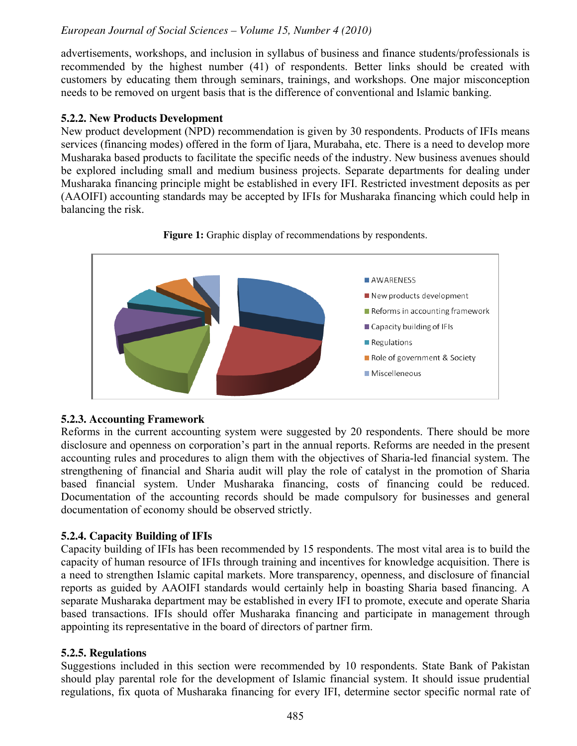advertisements, workshops, and inclusion in syllabus of business and finance students/professionals is recommended by the highest number (41) of respondents. Better links should be created with customers by educating them through seminars, trainings, and workshops. One major misconception needs to be removed on urgent basis that is the difference of conventional and Islamic banking.

#### **5.2.2. New Products Development**

New product development (NPD) recommendation is given by 30 respondents. Products of IFIs means services (financing modes) offered in the form of Ijara, Murabaha, etc. There is a need to develop more Musharaka based products to facilitate the specific needs of the industry. New business avenues should be explored including small and medium business projects. Separate departments for dealing under Musharaka financing principle might be established in every IFI. Restricted investment deposits as per (AAOIFI) accounting standards may be accepted by IFIs for Musharaka financing which could help in balancing the risk.





#### **5.2.3. Accounting Framework**

Reforms in the current accounting system were suggested by 20 respondents. There should be more disclosure and openness on corporation's part in the annual reports. Reforms are needed in the present accounting rules and procedures to align them with the objectives of Sharia-led financial system. The strengthening of financial and Sharia audit will play the role of catalyst in the promotion of Sharia based financial system. Under Musharaka financing, costs of financing could be reduced. Documentation of the accounting records should be made compulsory for businesses and general documentation of economy should be observed strictly.

#### **5.2.4. Capacity Building of IFIs**

Capacity building of IFIs has been recommended by 15 respondents. The most vital area is to build the capacity of human resource of IFIs through training and incentives for knowledge acquisition. There is a need to strengthen Islamic capital markets. More transparency, openness, and disclosure of financial reports as guided by AAOIFI standards would certainly help in boasting Sharia based financing. A separate Musharaka department may be established in every IFI to promote, execute and operate Sharia based transactions. IFIs should offer Musharaka financing and participate in management through appointing its representative in the board of directors of partner firm.

#### **5.2.5. Regulations**

Suggestions included in this section were recommended by 10 respondents. State Bank of Pakistan should play parental role for the development of Islamic financial system. It should issue prudential regulations, fix quota of Musharaka financing for every IFI, determine sector specific normal rate of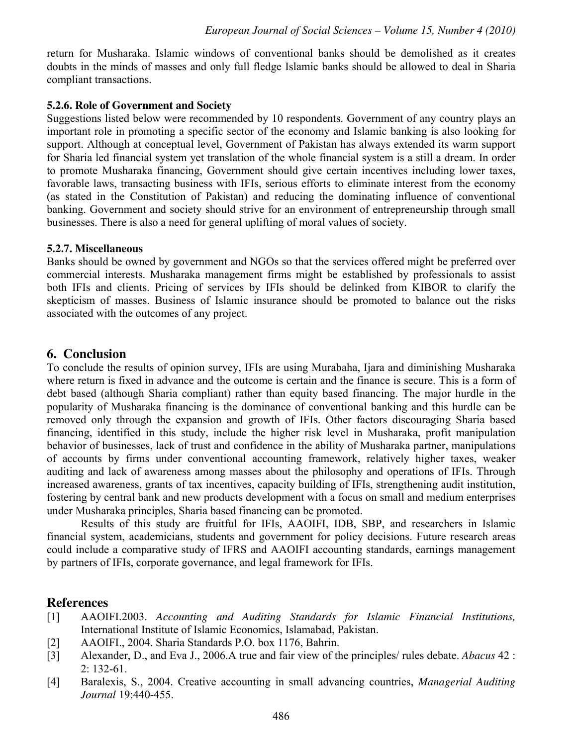return for Musharaka. Islamic windows of conventional banks should be demolished as it creates doubts in the minds of masses and only full fledge Islamic banks should be allowed to deal in Sharia compliant transactions.

#### **5.2.6. Role of Government and Society**

Suggestions listed below were recommended by 10 respondents. Government of any country plays an important role in promoting a specific sector of the economy and Islamic banking is also looking for support. Although at conceptual level, Government of Pakistan has always extended its warm support for Sharia led financial system yet translation of the whole financial system is a still a dream. In order to promote Musharaka financing, Government should give certain incentives including lower taxes, favorable laws, transacting business with IFIs, serious efforts to eliminate interest from the economy (as stated in the Constitution of Pakistan) and reducing the dominating influence of conventional banking. Government and society should strive for an environment of entrepreneurship through small businesses. There is also a need for general uplifting of moral values of society.

#### **5.2.7. Miscellaneous**

Banks should be owned by government and NGOs so that the services offered might be preferred over commercial interests. Musharaka management firms might be established by professionals to assist both IFIs and clients. Pricing of services by IFIs should be delinked from KIBOR to clarify the skepticism of masses. Business of Islamic insurance should be promoted to balance out the risks associated with the outcomes of any project.

#### **6. Conclusion**

To conclude the results of opinion survey, IFIs are using Murabaha, Ijara and diminishing Musharaka where return is fixed in advance and the outcome is certain and the finance is secure. This is a form of debt based (although Sharia compliant) rather than equity based financing. The major hurdle in the popularity of Musharaka financing is the dominance of conventional banking and this hurdle can be removed only through the expansion and growth of IFIs. Other factors discouraging Sharia based financing, identified in this study, include the higher risk level in Musharaka, profit manipulation behavior of businesses, lack of trust and confidence in the ability of Musharaka partner, manipulations of accounts by firms under conventional accounting framework, relatively higher taxes, weaker auditing and lack of awareness among masses about the philosophy and operations of IFIs. Through increased awareness, grants of tax incentives, capacity building of IFIs, strengthening audit institution, fostering by central bank and new products development with a focus on small and medium enterprises under Musharaka principles, Sharia based financing can be promoted.

Results of this study are fruitful for IFIs, AAOIFI, IDB, SBP, and researchers in Islamic financial system, academicians, students and government for policy decisions. Future research areas could include a comparative study of IFRS and AAOIFI accounting standards, earnings management by partners of IFIs, corporate governance, and legal framework for IFIs.

#### **References**

- [1] AAOIFI.2003. *Accounting and Auditing Standards for Islamic Financial Institutions,* International Institute of Islamic Economics, Islamabad, Pakistan.
- [2] AAOIFI., 2004. Sharia Standards P.O. box 1176, Bahrin.
- [3] Alexander, D., and Eva J., 2006.A true and fair view of the principles/ rules debate. *Abacus* 42 : 2: 132-61.
- [4] Baralexis, S., 2004. Creative accounting in small advancing countries, *Managerial Auditing Journal* 19:440-455.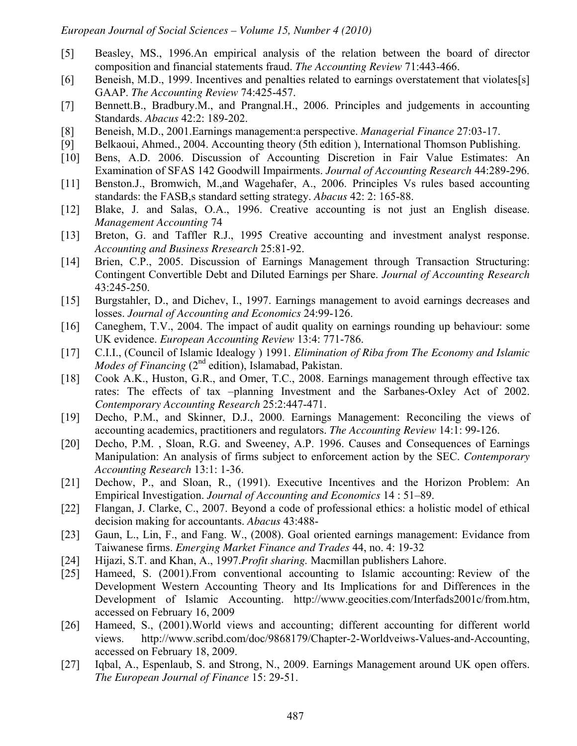- [5] Beasley, MS., 1996.An empirical analysis of the relation between the board of director composition and financial statements fraud. *The Accounting Review* 71:443-466.
- [6] Beneish, M.D., 1999. Incentives and penalties related to earnings overstatement that violates [s] GAAP. *The Accounting Review* 74:425-457.
- [7] Bennett.B., Bradbury.M., and Prangnal.H., 2006. Principles and judgements in accounting Standards. *Abacus* 42:2: 189-202.
- [8] Beneish, M.D., 2001.Earnings management:a perspective. *Managerial Finance* 27:03-17.
- [9] Belkaoui, Ahmed., 2004. Accounting theory (5th edition ), International Thomson Publishing.
- [10] Bens, A.D. 2006. Discussion of Accounting Discretion in Fair Value Estimates: An Examination of SFAS 142 Goodwill Impairments. *Journal of Accounting Research* 44:289-296.
- [11] Benston.J., Bromwich, M., and Wagehafer, A., 2006. Principles Vs rules based accounting standards: the FASB,s standard setting strategy. *Abacus* 42: 2: 165-88.
- [12] Blake, J. and Salas, O.A., 1996. Creative accounting is not just an English disease. *Management Accounting* 74
- [13] Breton, G. and Taffler R.J., 1995 Creative accounting and investment analyst response. *Accounting and Business Rresearch* 25:81-92.
- [14] Brien, C.P., 2005. Discussion of Earnings Management through Transaction Structuring: Contingent Convertible Debt and Diluted Earnings per Share. *Journal of Accounting Research* 43:245-250.
- [15] Burgstahler, D., and Dichev, I., 1997. Earnings management to avoid earnings decreases and losses. *Journal of Accounting and Economics* 24:99-126.
- [16] Caneghem, T.V., 2004. The impact of audit quality on earnings rounding up behaviour: some UK evidence. *European Accounting Review* 13:4: 771-786.
- [17] C.I.I., (Council of Islamic Idealogy ) 1991. *Elimination of Riba from The Economy and Islamic Modes of Financing* (2<sup>nd</sup> edition), Islamabad, Pakistan.
- [18] Cook A.K., Huston, G.R., and Omer, T.C., 2008. Earnings management through effective tax rates: The effects of tax -planning Investment and the Sarbanes-Oxley Act of 2002. *Contemporary Accounting Research* 25:2:447-471.
- [19] Decho, P.M., and Skinner, D.J., 2000. Earnings Management: Reconciling the views of accounting academics, practitioners and regulators. *The Accounting Review* 14:1: 99-126.
- [20] Decho, P.M., Sloan, R.G. and Sweeney, A.P. 1996. Causes and Consequences of Earnings Manipulation: An analysis of firms subject to enforcement action by the SEC. *Contemporary Accounting Research* 13:1: 1-36.
- [21] Dechow, P., and Sloan, R., (1991). Executive Incentives and the Horizon Problem: An Empirical Investigation. *Journal of Accounting and Economics* 14 : 51–89.
- [22] Flangan, J. Clarke, C., 2007. Beyond a code of professional ethics: a holistic model of ethical decision making for accountants. *Abacus* 43:488-
- [23] Gaun, L., Lin, F., and Fang. W., (2008). Goal oriented earnings management: Evidance from Taiwanese firms. *Emerging Market Finance and Trades* 44, no. 4: 19-32
- [24] Hijazi, S.T. and Khan, A., 1997.*Profit sharing.* Macmillan publishers Lahore.
- [25] Hameed, S. (2001). From conventional accounting to Islamic accounting: Review of the Development Western Accounting Theory and Its Implications for and Differences in the Development of Islamic Accounting. http://www.geocities.com/Interfads2001c/from.htm, accessed on February 16, 2009
- [26] Hameed, S., (2001). World views and accounting; different accounting for different world views. http://www.scribd.com/doc/9868179/Chapter-2-Worldveiws-Values-and-Accounting, accessed on February 18, 2009.
- [27] Iqbal, A., Espenlaub, S. and Strong, N., 2009. Earnings Management around UK open offers. *The European Journal of Finance* 15: 29-51.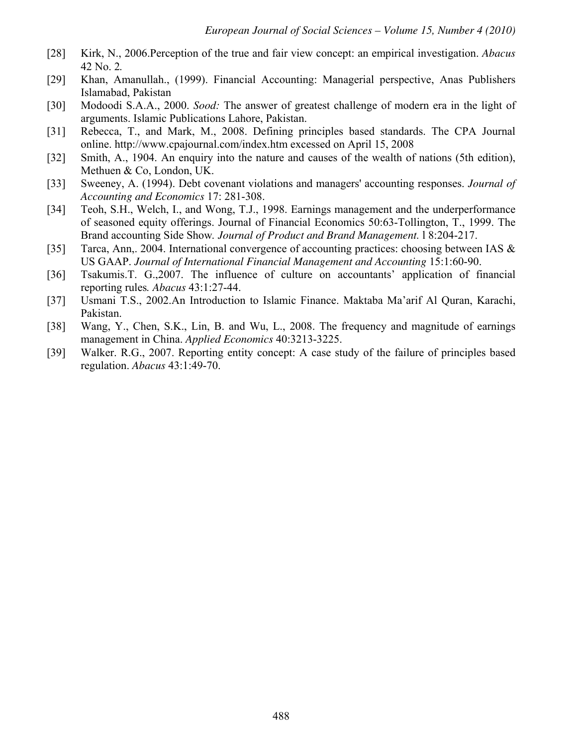- [28] Kirk, N., 2006.Perception of the true and fair view concept: an empirical investigation. *Abacus*  42 No. 2*.*
- [29] Khan, Amanullah., (1999). Financial Accounting: Managerial perspective, Anas Publishers Islamabad, Pakistan
- [30] Modoodi S.A.A., 2000. *Sood:* The answer of greatest challenge of modern era in the light of arguments. Islamic Publications Lahore, Pakistan.
- [31] Rebecca, T., and Mark, M., 2008. Defining principles based standards. The CPA Journal online. http://www.cpajournal.com/index.htm excessed on April 15, 2008
- [32] Smith, A., 1904. An enquiry into the nature and causes of the wealth of nations (5th edition), Methuen & Co, London, UK.
- [33] Sweeney, A. (1994). Debt covenant violations and managers' accounting responses. *Journal of Accounting and Economics* 17: 281-308.
- [34] Teoh, S.H., Welch, I., and Wong, T.J., 1998. Earnings management and the underperformance of seasoned equity offerings. Journal of Financial Economics 50:63-Tollington, T., 1999. The Brand accounting Side Show*. Journal of Product and Brand Management.* l 8:204-217.
- [35] Tarca, Ann,. 2004. International convergence of accounting practices: choosing between IAS & US GAAP. *Journal of International Financial Management and Accounting* 15:1:60-90.
- [36] Tsakumis.T. G.,2007. The influence of culture on accountants' application of financial reporting rules*. Abacus* 43:1:27-44.
- [37] Usmani T.S., 2002.An Introduction to Islamic Finance. Maktaba Ma'arif Al Quran, Karachi, Pakistan.
- [38] Wang, Y., Chen, S.K., Lin, B. and Wu, L., 2008. The frequency and magnitude of earnings management in China. *Applied Economics* 40:3213-3225.
- [39] Walker. R.G., 2007. Reporting entity concept: A case study of the failure of principles based regulation. *Abacus* 43:1:49-70.